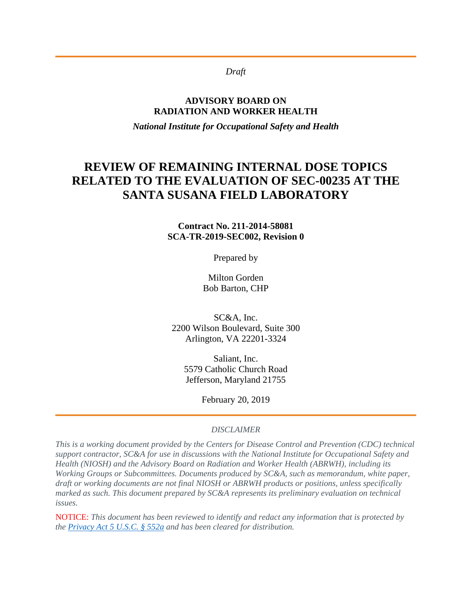*Draft*

#### **ADVISORY BOARD ON RADIATION AND WORKER HEALTH**

*National Institute for Occupational Safety and Health*

# **REVIEW OF REMAINING INTERNAL DOSE TOPICS RELATED TO THE EVALUATION OF SEC-00235 AT THE SANTA SUSANA FIELD LABORATORY**

### **Contract No. 211-2014-58081 SCA-TR-2019-SEC002, Revision 0**

Prepared by

Milton Gorden Bob Barton, CHP

SC&A, Inc. 2200 Wilson Boulevard, Suite 300 Arlington, VA 22201-3324

Saliant, Inc. 5579 Catholic Church Road Jefferson, Maryland 21755

February 20, 2019

#### *DISCLAIMER*

*This is a working document provided by the Centers for Disease Control and Prevention (CDC) technical support contractor, SC&A for use in discussions with the National Institute for Occupational Safety and Health (NIOSH) and the Advisory Board on Radiation and Worker Health (ABRWH), including its Working Groups or Subcommittees. Documents produced by SC&A, such as memorandum, white paper, draft or working documents are not final NIOSH or ABRWH products or positions, unless specifically marked as such. This document prepared by SC&A represents its preliminary evaluation on technical issues.*

NOTICE: *This document has been reviewed to identify and redact any information that is protected by the [Privacy Act 5 U.S.C. § 552a](http://www.justice.gov/opcl/privacy-act-1974) and has been cleared for distribution.*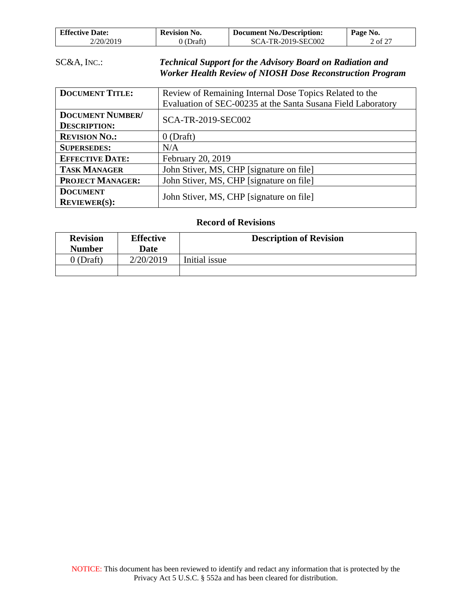| <b>Effective Date:</b> | <b>Revision No.</b> | <b>Document No./Description:</b> | Page No.       |
|------------------------|---------------------|----------------------------------|----------------|
| 2/20/2019              | (Draft)             | SCA-TR-2019-SEC002               | $\angle$ of 27 |

| SC&A, Inc.: | <b>Technical Support for the Advisory Board on Radiation and</b> |
|-------------|------------------------------------------------------------------|
|             | <b>Worker Health Review of NIOSH Dose Reconstruction Program</b> |

| <b>DOCUMENT TITLE:</b>  | Review of Remaining Internal Dose Topics Related to the      |  |
|-------------------------|--------------------------------------------------------------|--|
|                         | Evaluation of SEC-00235 at the Santa Susana Field Laboratory |  |
| <b>DOCUMENT NUMBER/</b> | SCA-TR-2019-SEC002                                           |  |
| <b>DESCRIPTION:</b>     |                                                              |  |
| <b>REVISION NO.:</b>    | $0$ (Draft)                                                  |  |
| <b>SUPERSEDES:</b>      | N/A                                                          |  |
| <b>EFFECTIVE DATE:</b>  | February 20, 2019                                            |  |
| <b>TASK MANAGER</b>     | John Stiver, MS, CHP [signature on file]                     |  |
| <b>PROJECT MANAGER:</b> | John Stiver, MS, CHP [signature on file]                     |  |
| <b>DOCUMENT</b>         | John Stiver, MS, CHP [signature on file]                     |  |
| <b>REVIEWER(S):</b>     |                                                              |  |

## **Record of Revisions**

| <b>Revision</b><br><b>Number</b> | <b>Effective</b><br>Date | <b>Description of Revision</b> |
|----------------------------------|--------------------------|--------------------------------|
| $0$ (Draft)                      | 2/20/2019                | Initial issue                  |
|                                  |                          |                                |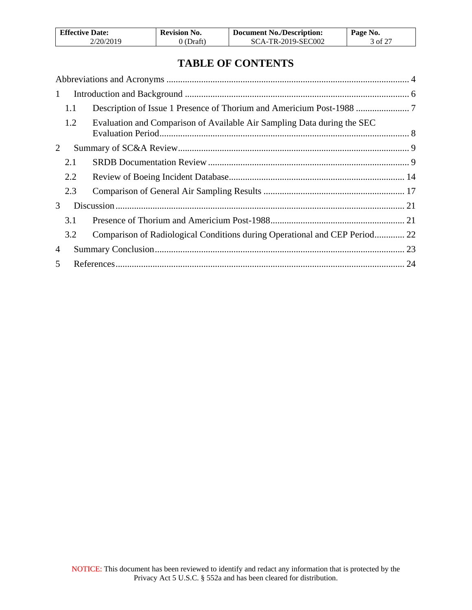| <b>Effective Date:</b> | <b>Revision No.</b> | <b>Document No./Description:</b> | Page No. |
|------------------------|---------------------|----------------------------------|----------|
| 2/20/2019              | $0$ (Draft)         | SCA-TR-2019-SEC002               | 3 of 27  |

# **TABLE OF CONTENTS**

| $\mathbf{1}$ |     |                                                                            |  |
|--------------|-----|----------------------------------------------------------------------------|--|
|              | 1.1 |                                                                            |  |
|              | 1.2 | Evaluation and Comparison of Available Air Sampling Data during the SEC    |  |
| 2            |     |                                                                            |  |
|              | 2.1 |                                                                            |  |
|              | 2.2 |                                                                            |  |
|              | 2.3 |                                                                            |  |
| 3            |     |                                                                            |  |
|              | 3.1 |                                                                            |  |
|              | 3.2 | Comparison of Radiological Conditions during Operational and CEP Period 22 |  |
| 4            |     |                                                                            |  |
| 5            |     |                                                                            |  |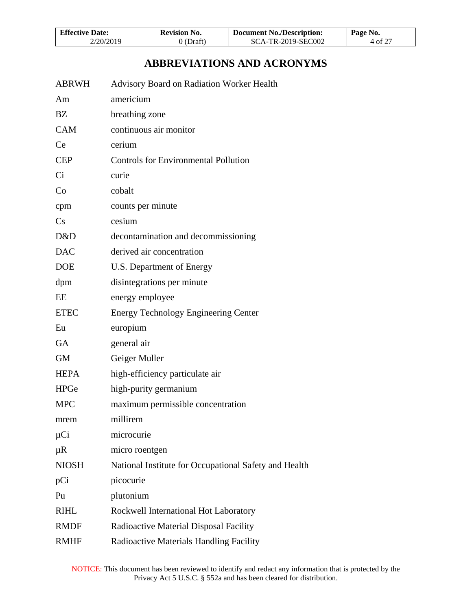| <b>Effective Date:</b> | <b>Revision No.</b> | <b>Document No./Description:</b> | Page No. |
|------------------------|---------------------|----------------------------------|----------|
| 2/20/2019              | 0 (Draft)           | SCA-TR-2019-SEC002               | 4 of 27  |

# **ABBREVIATIONS AND ACRONYMS**

<span id="page-3-0"></span>

| <b>ABRWH</b> | Advisory Board on Radiation Worker Health             |
|--------------|-------------------------------------------------------|
| Am           | americium                                             |
| <b>BZ</b>    | breathing zone                                        |
| CAM          | continuous air monitor                                |
| <b>Ce</b>    | cerium                                                |
| <b>CEP</b>   | <b>Controls for Environmental Pollution</b>           |
| Ci           | curie                                                 |
| Co           | cobalt                                                |
| cpm          | counts per minute                                     |
| Cs           | cesium                                                |
| D&D          | decontamination and decommissioning                   |
| <b>DAC</b>   | derived air concentration                             |
| <b>DOE</b>   | U.S. Department of Energy                             |
| dpm          | disintegrations per minute                            |
| EE           | energy employee                                       |
| <b>ETEC</b>  | <b>Energy Technology Engineering Center</b>           |
| Eu           | europium                                              |
| GA           | general air                                           |
| <b>GM</b>    | Geiger Muller                                         |
| <b>HEPA</b>  | high-efficiency particulate air                       |
| <b>HPGe</b>  | high-purity germanium                                 |
| <b>MPC</b>   | maximum permissible concentration                     |
| mrem         | millirem                                              |
| µCi          | microcurie                                            |
| $\mu$ R      | micro roentgen                                        |
| <b>NIOSH</b> | National Institute for Occupational Safety and Health |
| pCi          | picocurie                                             |
| Pu           | plutonium                                             |
| <b>RIHL</b>  | Rockwell International Hot Laboratory                 |
| <b>RMDF</b>  | Radioactive Material Disposal Facility                |
| <b>RMHF</b>  | Radioactive Materials Handling Facility               |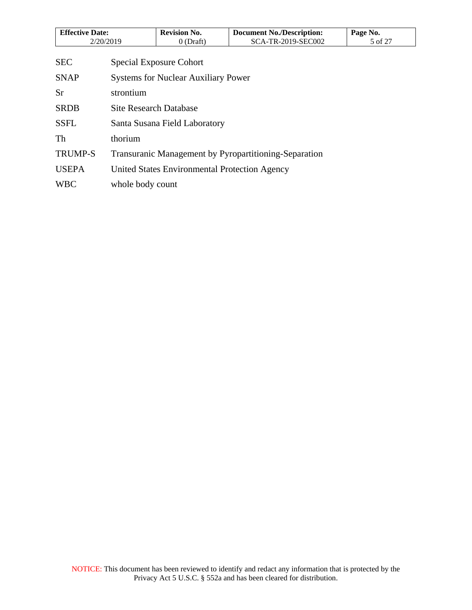| <b>Effective Date:</b> |                               | <b>Revision No.</b>                           | <b>Document No./Description:</b>                      | Page No. |
|------------------------|-------------------------------|-----------------------------------------------|-------------------------------------------------------|----------|
| 2/20/2019              |                               | $0$ (Draft)                                   | SCA-TR-2019-SEC002                                    | 5 of 27  |
|                        |                               |                                               |                                                       |          |
| <b>SEC</b>             |                               | Special Exposure Cohort                       |                                                       |          |
| <b>SNAP</b>            |                               | <b>Systems for Nuclear Auxiliary Power</b>    |                                                       |          |
| <b>Sr</b>              | strontium                     |                                               |                                                       |          |
| <b>SRDB</b>            | <b>Site Research Database</b> |                                               |                                                       |          |
| <b>SSFL</b>            | Santa Susana Field Laboratory |                                               |                                                       |          |
| Th                     | thorium                       |                                               |                                                       |          |
| <b>TRUMP-S</b>         |                               |                                               | Transuranic Management by Pyropartitioning-Separation |          |
| <b>USEPA</b>           |                               | United States Environmental Protection Agency |                                                       |          |
| <b>WBC</b>             | whole body count              |                                               |                                                       |          |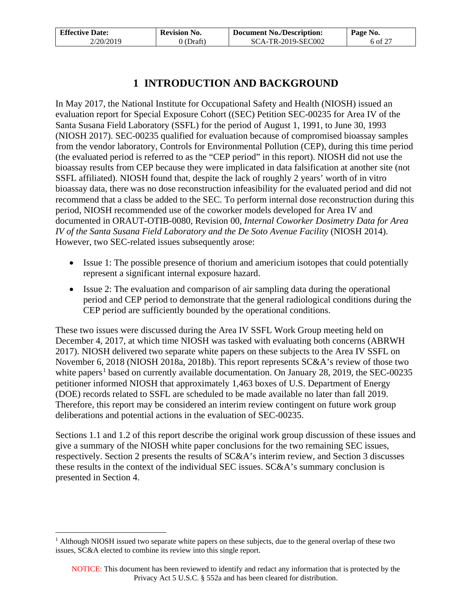| <b>Effective Date:</b> | <b>Revision No.</b> | <b>Document No./Description:</b> | Page No. |
|------------------------|---------------------|----------------------------------|----------|
| 2/20/2019              | $0$ (Draft)         | SCA-TR-2019-SEC002               | 6 of 27  |

# **1 INTRODUCTION AND BACKGROUND**

<span id="page-5-0"></span>In May 2017, the National Institute for Occupational Safety and Health (NIOSH) issued an evaluation report for Special Exposure Cohort ((SEC) Petition SEC-00235 for Area IV of the Santa Susana Field Laboratory (SSFL) for the period of August 1, 1991, to June 30, 1993 (NIOSH 2017). SEC-00235 qualified for evaluation because of compromised bioassay samples from the vendor laboratory, Controls for Environmental Pollution (CEP), during this time period (the evaluated period is referred to as the "CEP period" in this report). NIOSH did not use the bioassay results from CEP because they were implicated in data falsification at another site (not SSFL affiliated). NIOSH found that, despite the lack of roughly 2 years' worth of in vitro bioassay data, there was no dose reconstruction infeasibility for the evaluated period and did not recommend that a class be added to the SEC. To perform internal dose reconstruction during this period, NIOSH recommended use of the coworker models developed for Area IV and documented in ORAUT-OTIB-0080, Revision 00, *Internal Coworker Dosimetry Data for Area IV of the Santa Susana Field Laboratory and the De Soto Avenue Facility* (NIOSH 2014). However, two SEC-related issues subsequently arose:

- Issue 1: The possible presence of thorium and americium isotopes that could potentially represent a significant internal exposure hazard.
- Issue 2: The evaluation and comparison of air sampling data during the operational period and CEP period to demonstrate that the general radiological conditions during the CEP period are sufficiently bounded by the operational conditions.

These two issues were discussed during the Area IV SSFL Work Group meeting held on December 4, 2017, at which time NIOSH was tasked with evaluating both concerns (ABRWH 2017). NIOSH delivered two separate white papers on these subjects to the Area IV SSFL on November 6, 2018 (NIOSH 2018a, 2018b). This report represents SC&A's review of those two white papers<sup>[1](#page-5-1)</sup> based on currently available documentation. On January 28, 2019, the SEC-00235 petitioner informed NIOSH that approximately 1,463 boxes of U.S. Department of Energy (DOE) records related to SSFL are scheduled to be made available no later than fall 2019. Therefore, this report may be considered an interim review contingent on future work group deliberations and potential actions in the evaluation of SEC-00235.

Sections 1.1 and 1.2 of this report describe the original work group discussion of these issues and give a summary of the NIOSH white paper conclusions for the two remaining SEC issues, respectively. Section 2 presents the results of SC&A's interim review, and Section 3 discusses these results in the context of the individual SEC issues. SC&A's summary conclusion is presented in Section 4.

<span id="page-5-1"></span><sup>&</sup>lt;sup>1</sup> Although NIOSH issued two separate white papers on these subjects, due to the general overlap of these two issues, SC&A elected to combine its review into this single report.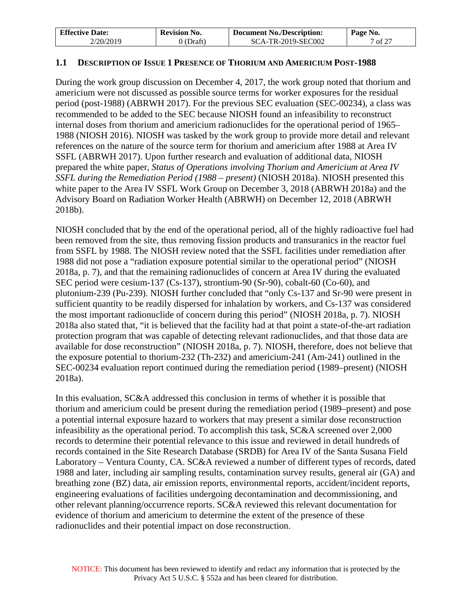| <b>Effective Date:</b> | <b>Revision No.</b> | <b>Document No./Description:</b> | Page No. |
|------------------------|---------------------|----------------------------------|----------|
| 2/20/2019              | ) (Draft)           | <b>SCA-TR-2019-SEC002</b>        | 7 of 27  |

### <span id="page-6-0"></span>**1.1 DESCRIPTION OF ISSUE 1 PRESENCE OF THORIUM AND AMERICIUM POST-1988**

During the work group discussion on December 4, 2017, the work group noted that thorium and americium were not discussed as possible source terms for worker exposures for the residual period (post-1988) (ABRWH 2017). For the previous SEC evaluation (SEC-00234), a class was recommended to be added to the SEC because NIOSH found an infeasibility to reconstruct internal doses from thorium and americium radionuclides for the operational period of 1965– 1988 (NIOSH 2016). NIOSH was tasked by the work group to provide more detail and relevant references on the nature of the source term for thorium and americium after 1988 at Area IV SSFL (ABRWH 2017). Upon further research and evaluation of additional data, NIOSH prepared the white paper, *Status of Operations involving Thorium and Americium at Area IV SSFL during the Remediation Period (1988 – present)* (NIOSH 2018a). NIOSH presented this white paper to the Area IV SSFL Work Group on December 3, 2018 (ABRWH 2018a) and the Advisory Board on Radiation Worker Health (ABRWH) on December 12, 2018 (ABRWH 2018b).

NIOSH concluded that by the end of the operational period, all of the highly radioactive fuel had been removed from the site, thus removing fission products and transuranics in the reactor fuel from SSFL by 1988. The NIOSH review noted that the SSFL facilities under remediation after 1988 did not pose a "radiation exposure potential similar to the operational period" (NIOSH 2018a, p. 7), and that the remaining radionuclides of concern at Area IV during the evaluated SEC period were cesium-137 (Cs-137), strontium-90 (Sr-90), cobalt-60 (Co-60), and plutonium-239 (Pu-239). NIOSH further concluded that "only Cs-137 and Sr-90 were present in sufficient quantity to be readily dispersed for inhalation by workers, and Cs-137 was considered the most important radionuclide of concern during this period" (NIOSH 2018a, p. 7). NIOSH 2018a also stated that, "it is believed that the facility had at that point a state-of-the-art radiation protection program that was capable of detecting relevant radionuclides, and that those data are available for dose reconstruction" (NIOSH 2018a, p. 7). NIOSH, therefore, does not believe that the exposure potential to thorium-232 (Th-232) and americium-241 (Am-241) outlined in the SEC-00234 evaluation report continued during the remediation period (1989–present) (NIOSH 2018a).

In this evaluation, SC&A addressed this conclusion in terms of whether it is possible that thorium and americium could be present during the remediation period (1989–present) and pose a potential internal exposure hazard to workers that may present a similar dose reconstruction infeasibility as the operational period. To accomplish this task, SC&A screened over 2,000 records to determine their potential relevance to this issue and reviewed in detail hundreds of records contained in the Site Research Database (SRDB) for Area IV of the Santa Susana Field Laboratory – Ventura County, CA. SC&A reviewed a number of different types of records, dated 1988 and later, including air sampling results, contamination survey results, general air (GA) and breathing zone (BZ) data, air emission reports, environmental reports, accident/incident reports, engineering evaluations of facilities undergoing decontamination and decommissioning, and other relevant planning/occurrence reports. SC&A reviewed this relevant documentation for evidence of thorium and americium to determine the extent of the presence of these radionuclides and their potential impact on dose reconstruction.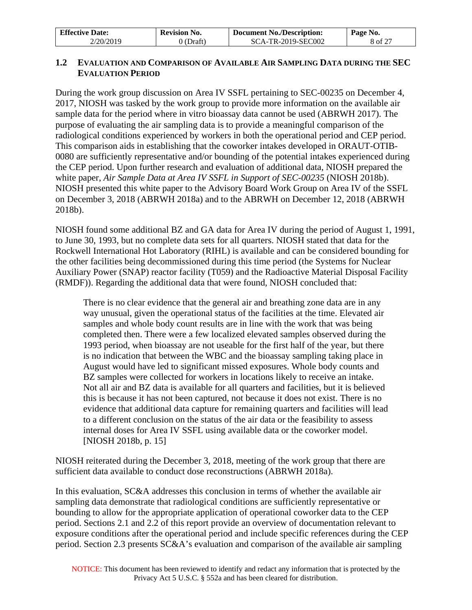| <b>Effective Date:</b> | <b>Revision No.</b> | <b>Document No./Description:</b> | Page No. |
|------------------------|---------------------|----------------------------------|----------|
| 2/20/2019              | 0 (Draft)           | SCA-TR-2019-SEC002               | 8 of 27  |

### <span id="page-7-0"></span>**1.2 EVALUATION AND COMPARISON OF AVAILABLE AIR SAMPLING DATA DURING THE SEC EVALUATION PERIOD**

During the work group discussion on Area IV SSFL pertaining to SEC-00235 on December 4, 2017, NIOSH was tasked by the work group to provide more information on the available air sample data for the period where in vitro bioassay data cannot be used (ABRWH 2017). The purpose of evaluating the air sampling data is to provide a meaningful comparison of the radiological conditions experienced by workers in both the operational period and CEP period. This comparison aids in establishing that the coworker intakes developed in ORAUT-OTIB-0080 are sufficiently representative and/or bounding of the potential intakes experienced during the CEP period. Upon further research and evaluation of additional data, NIOSH prepared the white paper, *Air Sample Data at Area IV SSFL in Support of SEC-00235* (NIOSH 2018b). NIOSH presented this white paper to the Advisory Board Work Group on Area IV of the SSFL on December 3, 2018 (ABRWH 2018a) and to the ABRWH on December 12, 2018 (ABRWH 2018b).

NIOSH found some additional BZ and GA data for Area IV during the period of August 1, 1991, to June 30, 1993, but no complete data sets for all quarters. NIOSH stated that data for the Rockwell International Hot Laboratory (RIHL) is available and can be considered bounding for the other facilities being decommissioned during this time period (the Systems for Nuclear Auxiliary Power (SNAP) reactor facility (T059) and the Radioactive Material Disposal Facility (RMDF)). Regarding the additional data that were found, NIOSH concluded that:

There is no clear evidence that the general air and breathing zone data are in any way unusual, given the operational status of the facilities at the time. Elevated air samples and whole body count results are in line with the work that was being completed then. There were a few localized elevated samples observed during the 1993 period, when bioassay are not useable for the first half of the year, but there is no indication that between the WBC and the bioassay sampling taking place in August would have led to significant missed exposures. Whole body counts and BZ samples were collected for workers in locations likely to receive an intake. Not all air and BZ data is available for all quarters and facilities, but it is believed this is because it has not been captured, not because it does not exist. There is no evidence that additional data capture for remaining quarters and facilities will lead to a different conclusion on the status of the air data or the feasibility to assess internal doses for Area IV SSFL using available data or the coworker model. [NIOSH 2018b, p. 15]

NIOSH reiterated during the December 3, 2018, meeting of the work group that there are sufficient data available to conduct dose reconstructions (ABRWH 2018a).

In this evaluation, SC&A addresses this conclusion in terms of whether the available air sampling data demonstrate that radiological conditions are sufficiently representative or bounding to allow for the appropriate application of operational coworker data to the CEP period. Sections 2.1 and 2.2 of this report provide an overview of documentation relevant to exposure conditions after the operational period and include specific references during the CEP period. Section 2.3 presents SC&A's evaluation and comparison of the available air sampling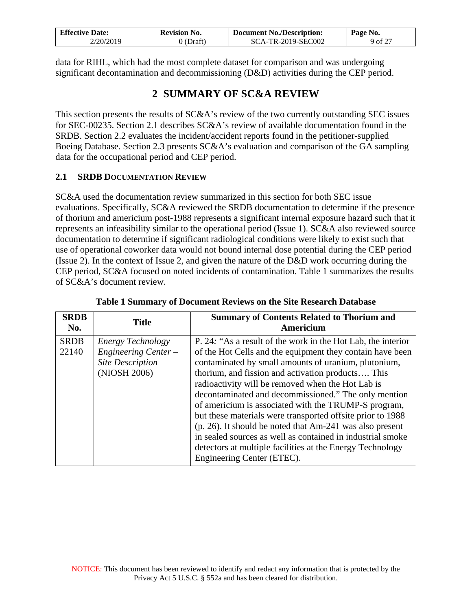| <b>Effective Date:</b> | Revision No. | <b>Document No./Description:</b> | Page No.            |
|------------------------|--------------|----------------------------------|---------------------|
| 2/20/2019              | J (Draft)    | SCA-TR-2019-SEC002               | $9 \text{ of } z$ . |

data for RIHL, which had the most complete dataset for comparison and was undergoing significant decontamination and decommissioning (D&D) activities during the CEP period.

# **2 SUMMARY OF SC&A REVIEW**

<span id="page-8-0"></span>This section presents the results of SC&A's review of the two currently outstanding SEC issues for SEC-00235. Section 2.1 describes SC&A's review of available documentation found in the SRDB. Section 2.2 evaluates the incident/accident reports found in the petitioner-supplied Boeing Database. Section 2.3 presents SC&A's evaluation and comparison of the GA sampling data for the occupational period and CEP period.

### <span id="page-8-1"></span>**2.1 SRDB DOCUMENTATION REVIEW**

SC&A used the documentation review summarized in this section for both SEC issue evaluations. Specifically, SC&A reviewed the SRDB documentation to determine if the presence of thorium and americium post-1988 represents a significant internal exposure hazard such that it represents an infeasibility similar to the operational period (Issue 1). SC&A also reviewed source documentation to determine if significant radiological conditions were likely to exist such that use of operational coworker data would not bound internal dose potential during the CEP period (Issue 2). In the context of Issue 2, and given the nature of the D&D work occurring during the CEP period, SC&A focused on noted incidents of contamination. Table 1 summarizes the results of SC&A's document review.

| <b>SRDB</b><br>No.   | <b>Title</b>                                                                               | <b>Summary of Contents Related to Thorium and</b><br>Americium                                                                                                                                                                                                                                                                                                                                                                                                                                                                                                                                                                                                                                 |
|----------------------|--------------------------------------------------------------------------------------------|------------------------------------------------------------------------------------------------------------------------------------------------------------------------------------------------------------------------------------------------------------------------------------------------------------------------------------------------------------------------------------------------------------------------------------------------------------------------------------------------------------------------------------------------------------------------------------------------------------------------------------------------------------------------------------------------|
| <b>SRDB</b><br>22140 | <b>Energy Technology</b><br>Engineering Center-<br><b>Site Description</b><br>(NIOSH 2006) | P. 24: "As a result of the work in the Hot Lab, the interior<br>of the Hot Cells and the equipment they contain have been<br>contaminated by small amounts of uranium, plutonium,<br>thorium, and fission and activation products This<br>radioactivity will be removed when the Hot Lab is<br>decontaminated and decommissioned." The only mention<br>of americium is associated with the TRUMP-S program,<br>but these materials were transported offsite prior to 1988<br>(p. 26). It should be noted that Am-241 was also present<br>in sealed sources as well as contained in industrial smoke<br>detectors at multiple facilities at the Energy Technology<br>Engineering Center (ETEC). |

| Table 1 Summary of Document Reviews on the Site Research Database |  |  |  |  |  |
|-------------------------------------------------------------------|--|--|--|--|--|
|-------------------------------------------------------------------|--|--|--|--|--|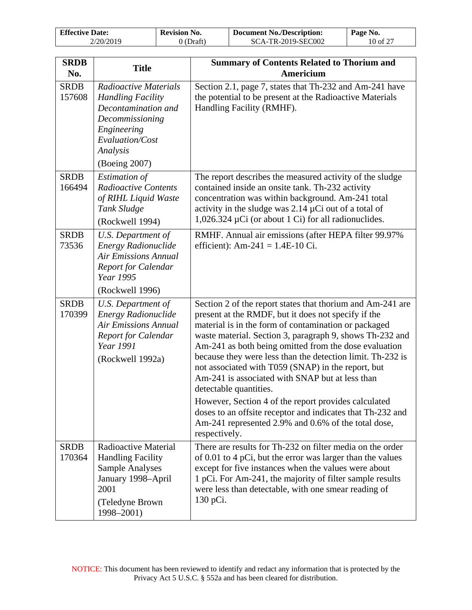| <b>Effective Date:</b> | <b>Revision No.</b> | <b>Document No./Description:</b> | Page No. |
|------------------------|---------------------|----------------------------------|----------|
| 2/20/2019              | 0 (Draft)           | SCA-TR-2019-SEC002               | 10 of 27 |

| <b>SRDB</b><br>No.    | <b>Title</b>                                                                                                                                               | <b>Summary of Contents Related to Thorium and</b><br><b>Americium</b>                                                                                                                                                                                                                                                                                                                                                                                                                                                                                                                                                                                                                         |
|-----------------------|------------------------------------------------------------------------------------------------------------------------------------------------------------|-----------------------------------------------------------------------------------------------------------------------------------------------------------------------------------------------------------------------------------------------------------------------------------------------------------------------------------------------------------------------------------------------------------------------------------------------------------------------------------------------------------------------------------------------------------------------------------------------------------------------------------------------------------------------------------------------|
| <b>SRDB</b><br>157608 | Radioactive Materials<br><b>Handling Facility</b><br>Decontamination and<br>Decommissioning<br>Engineering<br>Evaluation/Cost<br>Analysis<br>(Boeing 2007) | Section 2.1, page 7, states that Th-232 and Am-241 have<br>the potential to be present at the Radioactive Materials<br>Handling Facility (RMHF).                                                                                                                                                                                                                                                                                                                                                                                                                                                                                                                                              |
| <b>SRDB</b><br>166494 | <b>Estimation of</b><br><b>Radioactive Contents</b><br>of RIHL Liquid Waste<br>Tank Sludge<br>(Rockwell 1994)                                              | The report describes the measured activity of the sludge<br>contained inside an onsite tank. Th-232 activity<br>concentration was within background. Am-241 total<br>activity in the sludge was $2.14 \mu$ Ci out of a total of<br>$1,026.324 \mu$ Ci (or about 1 Ci) for all radionuclides.                                                                                                                                                                                                                                                                                                                                                                                                  |
| <b>SRDB</b><br>73536  | U.S. Department of<br><b>Energy Radionuclide</b><br><b>Air Emissions Annual</b><br><b>Report for Calendar</b><br>Year 1995<br>(Rockwell 1996)              | RMHF. Annual air emissions (after HEPA filter 99.97%)<br>efficient): $Am-241 = 1.4E-10 Ci$ .                                                                                                                                                                                                                                                                                                                                                                                                                                                                                                                                                                                                  |
| <b>SRDB</b><br>170399 | U.S. Department of<br><b>Energy Radionuclide</b><br><b>Air Emissions Annual</b><br><b>Report for Calendar</b><br>Year 1991<br>(Rockwell 1992a)             | Section 2 of the report states that thorium and Am-241 are<br>present at the RMDF, but it does not specify if the<br>material is in the form of contamination or packaged<br>waste material. Section 3, paragraph 9, shows Th-232 and<br>Am-241 as both being omitted from the dose evaluation<br>because they were less than the detection limit. Th-232 is<br>not associated with T059 (SNAP) in the report, but<br>Am-241 is associated with SNAP but at less than<br>detectable quantities.<br>However, Section 4 of the report provides calculated<br>doses to an offsite receptor and indicates that Th-232 and<br>Am-241 represented 2.9% and 0.6% of the total dose,<br>respectively. |
| <b>SRDB</b><br>170364 | <b>Radioactive Material</b><br><b>Handling Facility</b><br><b>Sample Analyses</b><br>January 1998–April<br>2001<br>(Teledyne Brown<br>$1998 - 2001$        | There are results for Th-232 on filter media on the order<br>of $0.01$ to $4$ pCi, but the error was larger than the values<br>except for five instances when the values were about<br>1 pCi. For Am-241, the majority of filter sample results<br>were less than detectable, with one smear reading of<br>130 pCi.                                                                                                                                                                                                                                                                                                                                                                           |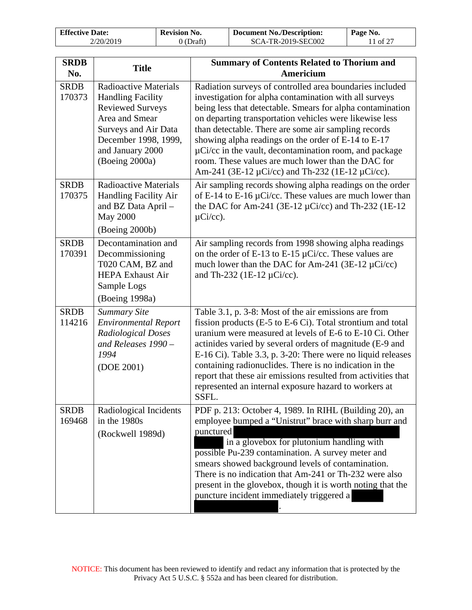| <b>Effective Date:</b> | <b>Revision No.</b> | <b>Document No./Description:</b> | Page No. |
|------------------------|---------------------|----------------------------------|----------|
| 2/20/2019              | 0 (Draft)           | SCA-TR-2019-SEC002               | 1 of 27  |

| <b>SRDB</b><br>No.    | <b>Title</b>                                                                                                                                                                                | <b>Summary of Contents Related to Thorium and</b><br>Americium                                                                                                                                                                                                                                                                                                                                                                                                                                                                      |
|-----------------------|---------------------------------------------------------------------------------------------------------------------------------------------------------------------------------------------|-------------------------------------------------------------------------------------------------------------------------------------------------------------------------------------------------------------------------------------------------------------------------------------------------------------------------------------------------------------------------------------------------------------------------------------------------------------------------------------------------------------------------------------|
| <b>SRDB</b><br>170373 | <b>Radioactive Materials</b><br><b>Handling Facility</b><br><b>Reviewed Surveys</b><br>Area and Smear<br>Surveys and Air Data<br>December 1998, 1999,<br>and January 2000<br>(Boeing 2000a) | Radiation surveys of controlled area boundaries included<br>investigation for alpha contamination with all surveys<br>being less that detectable. Smears for alpha contamination<br>on departing transportation vehicles were likewise less<br>than detectable. There are some air sampling records<br>showing alpha readings on the order of E-14 to E-17<br>$\mu$ Ci/cc in the vault, decontamination room, and package<br>room. These values are much lower than the DAC for<br>Am-241 (3E-12 µCi/cc) and Th-232 (1E-12 µCi/cc). |
| <b>SRDB</b><br>170375 | <b>Radioactive Materials</b><br><b>Handling Facility Air</b><br>and BZ Data April -<br><b>May 2000</b><br>(Boeing 2000b)                                                                    | Air sampling records showing alpha readings on the order<br>of E-14 to E-16 $\mu$ Ci/cc. These values are much lower than<br>the DAC for Am-241 (3E-12 $\mu$ Ci/cc) and Th-232 (1E-12<br>$\mu$ Ci/cc).                                                                                                                                                                                                                                                                                                                              |
| <b>SRDB</b><br>170391 | Decontamination and<br>Decommissioning<br>T020 CAM, BZ and<br><b>HEPA Exhaust Air</b><br>Sample Logs<br>(Boeing 1998a)                                                                      | Air sampling records from 1998 showing alpha readings<br>on the order of E-13 to E-15 $\mu$ Ci/cc. These values are<br>much lower than the DAC for Am-241 (3E-12 $\mu$ Ci/cc)<br>and Th-232 (1E-12 $\mu$ Ci/cc).                                                                                                                                                                                                                                                                                                                    |
| <b>SRDB</b><br>114216 | <b>Summary Site</b><br><b>Environmental Report</b><br>Radiological Doses<br>and Releases $1990 -$<br>1994<br>(DOE 2001)                                                                     | Table 3.1, p. 3-8: Most of the air emissions are from<br>fission products (E-5 to E-6 Ci). Total strontium and total<br>uranium were measured at levels of E-6 to E-10 Ci. Other<br>actinides varied by several orders of magnitude (E-9 and<br>E-16 Ci). Table 3.3, p. 3-20: There were no liquid releases<br>containing radionuclides. There is no indication in the<br>report that these air emissions resulted from activities that<br>represented an internal exposure hazard to workers at<br>SSFL.                           |
| <b>SRDB</b><br>169468 | Radiological Incidents<br>in the 1980s<br>(Rockwell 1989d)                                                                                                                                  | PDF p. 213: October 4, 1989. In RIHL (Building 20), an<br>employee bumped a "Unistrut" brace with sharp burr and<br>punctured<br>in a glovebox for plutonium handling with<br>possible Pu-239 contamination. A survey meter and<br>smears showed background levels of contamination.<br>There is no indication that Am-241 or Th-232 were also<br>present in the glovebox, though it is worth noting that the<br>puncture incident immediately triggered a                                                                          |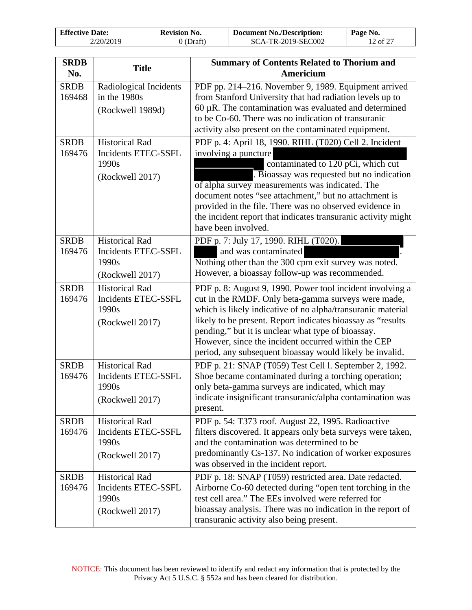| <b>Effective Date:</b> | <b>Revision No.</b> | <b>Document No./Description:</b> | Page No. |
|------------------------|---------------------|----------------------------------|----------|
| 2/20/2019              | 0 (Draft)           | SCA-TR-2019-SEC002               | 2 of 27  |

| <b>SRDB</b>           | <b>Title</b>                                                             | <b>Summary of Contents Related to Thorium and</b>                                                                                                                                                                                                                                                                                                                                                                                 |
|-----------------------|--------------------------------------------------------------------------|-----------------------------------------------------------------------------------------------------------------------------------------------------------------------------------------------------------------------------------------------------------------------------------------------------------------------------------------------------------------------------------------------------------------------------------|
| No.                   |                                                                          | Americium                                                                                                                                                                                                                                                                                                                                                                                                                         |
| <b>SRDB</b><br>169468 | Radiological Incidents<br>in the 1980s<br>(Rockwell 1989d)               | PDF pp. 214-216. November 9, 1989. Equipment arrived<br>from Stanford University that had radiation levels up to<br>$60 \mu R$ . The contamination was evaluated and determined<br>to be Co-60. There was no indication of transuranic<br>activity also present on the contaminated equipment.                                                                                                                                    |
| <b>SRDB</b><br>169476 | <b>Historical Rad</b><br>Incidents ETEC-SSFL<br>1990s<br>(Rockwell 2017) | PDF p. 4: April 18, 1990. RIHL (T020) Cell 2. Incident<br>involving a puncture<br>contaminated to 120 pCi, which cut<br>. Bioassay was requested but no indication<br>of alpha survey measurements was indicated. The<br>document notes "see attachment," but no attachment is<br>provided in the file. There was no observed evidence in<br>the incident report that indicates transuranic activity might<br>have been involved. |
| <b>SRDB</b><br>169476 | <b>Historical Rad</b><br>Incidents ETEC-SSFL<br>1990s<br>(Rockwell 2017) | PDF p. 7: July 17, 1990. RIHL (T020).<br>and was contaminated<br>Nothing other than the 300 cpm exit survey was noted.<br>However, a bioassay follow-up was recommended.                                                                                                                                                                                                                                                          |
| <b>SRDB</b><br>169476 | <b>Historical Rad</b><br>Incidents ETEC-SSFL<br>1990s<br>(Rockwell 2017) | PDF p. 8: August 9, 1990. Power tool incident involving a<br>cut in the RMDF. Only beta-gamma surveys were made,<br>which is likely indicative of no alpha/transuranic material<br>likely to be present. Report indicates bioassay as "results"<br>pending," but it is unclear what type of bioassay.<br>However, since the incident occurred within the CEP<br>period, any subsequent bioassay would likely be invalid.          |
| <b>SRDB</b><br>169476 | <b>Historical Rad</b><br>Incidents ETEC-SSFL<br>1990s<br>(Rockwell 2017) | PDF p. 21: SNAP (T059) Test Cell l. September 2, 1992.<br>Shoe became contaminated during a torching operation;<br>only beta-gamma surveys are indicated, which may<br>indicate insignificant transuranic/alpha contamination was<br>present.                                                                                                                                                                                     |
| <b>SRDB</b><br>169476 | <b>Historical Rad</b><br>Incidents ETEC-SSFL<br>1990s<br>(Rockwell 2017) | PDF p. 54: T373 roof. August 22, 1995. Radioactive<br>filters discovered. It appears only beta surveys were taken,<br>and the contamination was determined to be<br>predominantly Cs-137. No indication of worker exposures<br>was observed in the incident report.                                                                                                                                                               |
| <b>SRDB</b><br>169476 | <b>Historical Rad</b><br>Incidents ETEC-SSFL<br>1990s<br>(Rockwell 2017) | PDF p. 18: SNAP (T059) restricted area. Date redacted.<br>Airborne Co-60 detected during "open tent torching in the<br>test cell area." The EEs involved were referred for<br>bioassay analysis. There was no indication in the report of<br>transuranic activity also being present.                                                                                                                                             |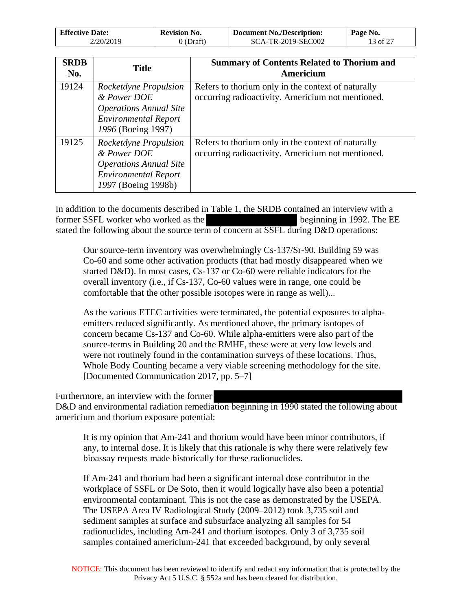| <b>Effective Date:</b> | <b>Revision No.</b> | <b>Document No./Description:</b> | Page No. |
|------------------------|---------------------|----------------------------------|----------|
| 2/20/2019              | $0$ (Draft)         | SCA-TR-2019-SEC002               | 13 of 27 |

| <b>SRDB</b><br>No. | <b>Title</b>                                                                                                                | <b>Summary of Contents Related to Thorium and</b><br>Americium                                          |
|--------------------|-----------------------------------------------------------------------------------------------------------------------------|---------------------------------------------------------------------------------------------------------|
| 19124              | Rocketdyne Propulsion<br>& Power DOE<br><b>Operations Annual Site</b><br><b>Environmental Report</b><br>1996 (Boeing 1997)  | Refers to thorium only in the context of naturally<br>occurring radioactivity. Americium not mentioned. |
| 19125              | Rocketdyne Propulsion<br>& Power DOE<br><b>Operations Annual Site</b><br><b>Environmental Report</b><br>1997 (Boeing 1998b) | Refers to thorium only in the context of naturally<br>occurring radioactivity. Americium not mentioned. |

In addition to the documents described in Table 1, the SRDB contained an interview with a former SSFL worker who worked as the beginning in 1992. The EE stated the following about the source term of concern at SSFL during D&D operations:

Our source-term inventory was overwhelmingly Cs-137/Sr-90. Building 59 was Co-60 and some other activation products (that had mostly disappeared when we started D&D). In most cases, Cs-137 or Co-60 were reliable indicators for the overall inventory (i.e., if Cs-137, Co-60 values were in range, one could be comfortable that the other possible isotopes were in range as well)...

As the various ETEC activities were terminated, the potential exposures to alphaemitters reduced significantly. As mentioned above, the primary isotopes of concern became Cs-137 and Co-60. While alpha-emitters were also part of the source-terms in Building 20 and the RMHF, these were at very low levels and were not routinely found in the contamination surveys of these locations. Thus, Whole Body Counting became a very viable screening methodology for the site. [Documented Communication 2017, pp. 5–7]

Furthermore, an interview with the former D&D and environmental radiation remediation beginning in 1990 stated the following about americium and thorium exposure potential:

It is my opinion that Am-241 and thorium would have been minor contributors, if any, to internal dose. It is likely that this rationale is why there were relatively few bioassay requests made historically for these radionuclides.

If Am-241 and thorium had been a significant internal dose contributor in the workplace of SSFL or De Soto, then it would logically have also been a potential environmental contaminant. This is not the case as demonstrated by the USEPA. The USEPA Area IV Radiological Study (2009–2012) took 3,735 soil and sediment samples at surface and subsurface analyzing all samples for 54 radionuclides, including Am-241 and thorium isotopes. Only 3 of 3,735 soil samples contained americium-241 that exceeded background, by only several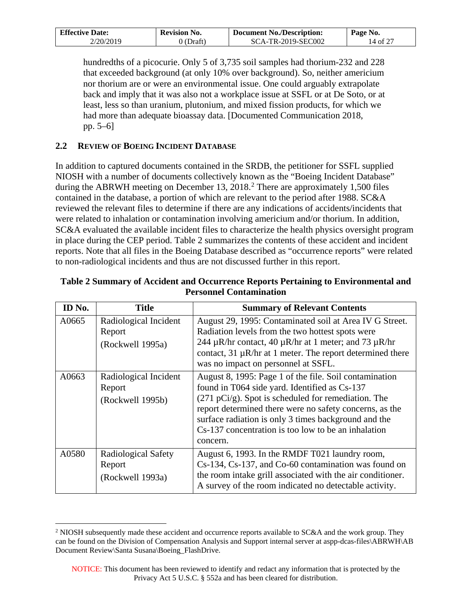| <b>Effective Date:</b> | <b>Revision No.</b> | <b>Document No./Description:</b> | Page No. |
|------------------------|---------------------|----------------------------------|----------|
| 2/20/2019              | 0 (Draft)           | SCA-TR-2019-SEC002               | 14 of 27 |

hundredths of a picocurie. Only 5 of 3,735 soil samples had thorium-232 and 228 that exceeded background (at only 10% over background). So, neither americium nor thorium are or were an environmental issue. One could arguably extrapolate back and imply that it was also not a workplace issue at SSFL or at De Soto, or at least, less so than uranium, plutonium, and mixed fission products, for which we had more than adequate bioassay data. [Documented Communication 2018, pp. 5–6]

### <span id="page-13-0"></span>**2.2 REVIEW OF BOEING INCIDENT DATABASE**

 $\overline{a}$ 

In addition to captured documents contained in the SRDB, the petitioner for SSFL supplied NIOSH with a number of documents collectively known as the "Boeing Incident Database" during the ABRWH meeting on December 13, [2](#page-13-1)018.<sup>2</sup> There are approximately 1,500 files contained in the database, a portion of which are relevant to the period after 1988. SC&A reviewed the relevant files to determine if there are any indications of accidents/incidents that were related to inhalation or contamination involving americium and/or thorium. In addition, SC&A evaluated the available incident files to characterize the health physics oversight program in place during the CEP period. Table 2 summarizes the contents of these accident and incident reports. Note that all files in the Boeing Database described as "occurrence reports" were related to non-radiological incidents and thus are not discussed further in this report.

| ID No. | <b>Title</b>                                        | <b>Summary of Relevant Contents</b>                                                                                                                                                                                                                                                                                                                             |
|--------|-----------------------------------------------------|-----------------------------------------------------------------------------------------------------------------------------------------------------------------------------------------------------------------------------------------------------------------------------------------------------------------------------------------------------------------|
| A0665  | Radiological Incident<br>Report<br>(Rockwell 1995a) | August 29, 1995: Contaminated soil at Area IV G Street.<br>Radiation levels from the two hottest spots were<br>244 $\mu$ R/hr contact, 40 $\mu$ R/hr at 1 meter; and 73 $\mu$ R/hr<br>contact, $31 \mu R/hr$ at 1 meter. The report determined there<br>was no impact on personnel at SSFL.                                                                     |
| A0663  | Radiological Incident<br>Report<br>(Rockwell 1995b) | August 8, 1995: Page 1 of the file. Soil contamination<br>found in T064 side yard. Identified as Cs-137<br>$(271 \text{ pCi/g})$ . Spot is scheduled for remediation. The<br>report determined there were no safety concerns, as the<br>surface radiation is only 3 times background and the<br>Cs-137 concentration is too low to be an inhalation<br>concern. |
| A0580  | Radiological Safety<br>Report<br>(Rockwell 1993a)   | August 6, 1993. In the RMDF T021 laundry room,<br>Cs-134, Cs-137, and Co-60 contamination was found on<br>the room intake grill associated with the air conditioner.<br>A survey of the room indicated no detectable activity.                                                                                                                                  |

| Table 2 Summary of Accident and Occurrence Reports Pertaining to Environmental and |
|------------------------------------------------------------------------------------|
| <b>Personnel Contamination</b>                                                     |

<span id="page-13-1"></span><sup>&</sup>lt;sup>2</sup> NIOSH subsequently made these accident and occurrence reports available to SC&A and the work group. They can be found on the Division of Compensation Analysis and Support internal server at aspp-dcas-files\ABRWH\AB Document Review\Santa Susana\Boeing\_FlashDrive.

NOTICE: This document has been reviewed to identify and redact any information that is protected by the Privacy Act 5 U.S.C. § 552a and has been cleared for distribution.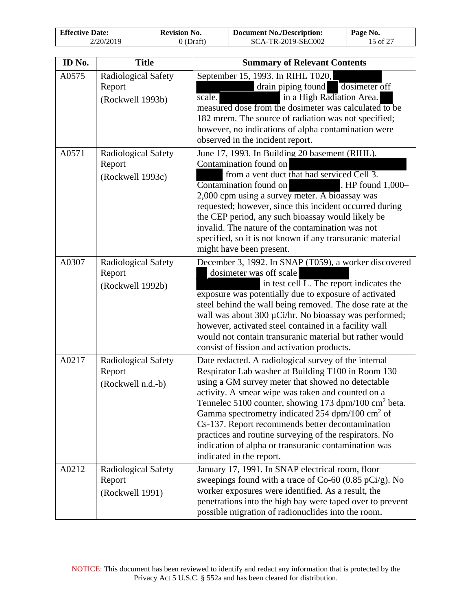| <b>Effective Date:</b> | <b>Revision No.</b> | <b>Document No./Description:</b> | Page No. |
|------------------------|---------------------|----------------------------------|----------|
| 2/20/2019              | 0 (Draft)           | SCA-TR-2019-SEC002               | 15 of 27 |

| ID No. | <b>Title</b>                                            | <b>Summary of Relevant Contents</b>                                                                                                                                                                                                                                                                                                                                                                                                                                                                                                                       |
|--------|---------------------------------------------------------|-----------------------------------------------------------------------------------------------------------------------------------------------------------------------------------------------------------------------------------------------------------------------------------------------------------------------------------------------------------------------------------------------------------------------------------------------------------------------------------------------------------------------------------------------------------|
| A0575  | Radiological Safety<br>Report<br>(Rockwell 1993b)       | September 15, 1993. In RIHL T020,<br>drain piping found dosimeter off<br>in a High Radiation Area.<br>scale.<br>measured dose from the dosimeter was calculated to be<br>182 mrem. The source of radiation was not specified;<br>however, no indications of alpha contamination were<br>observed in the incident report.                                                                                                                                                                                                                                  |
| A0571  | Radiological Safety<br>Report<br>(Rockwell 1993c)       | June 17, 1993. In Building 20 basement (RIHL).<br>Contamination found on<br>from a vent duct that had serviced Cell 3.<br>Contamination found on<br>. HP found 1,000-<br>2,000 cpm using a survey meter. A bioassay was<br>requested; however, since this incident occurred during<br>the CEP period, any such bioassay would likely be<br>invalid. The nature of the contamination was not<br>specified, so it is not known if any transuranic material<br>might have been present.                                                                      |
| A0307  | Radiological Safety<br>Report<br>(Rockwell 1992b)       | December 3, 1992. In SNAP (T059), a worker discovered<br>dosimeter was off scale<br>in test cell $\overline{L}$ . The report indicates the<br>exposure was potentially due to exposure of activated<br>steel behind the wall being removed. The dose rate at the<br>wall was about 300 µCi/hr. No bioassay was performed;<br>however, activated steel contained in a facility wall<br>would not contain transuranic material but rather would<br>consist of fission and activation products.                                                              |
| A0217  | Radiological Safety<br>Report<br>(Rockwell n.d.-b)      | Date redacted. A radiological survey of the internal<br>Respirator Lab washer at Building T100 in Room 130<br>using a GM survey meter that showed no detectable<br>activity. A smear wipe was taken and counted on a<br>Tennelec 5100 counter, showing 173 dpm/100 cm <sup>2</sup> beta.<br>Gamma spectrometry indicated 254 dpm/100 cm <sup>2</sup> of<br>Cs-137. Report recommends better decontamination<br>practices and routine surveying of the respirators. No<br>indication of alpha or transuranic contamination was<br>indicated in the report. |
| A0212  | <b>Radiological Safety</b><br>Report<br>(Rockwell 1991) | January 17, 1991. In SNAP electrical room, floor<br>sweepings found with a trace of $Co-60$ (0.85 pCi/g). No<br>worker exposures were identified. As a result, the<br>penetrations into the high bay were taped over to prevent<br>possible migration of radionuclides into the room.                                                                                                                                                                                                                                                                     |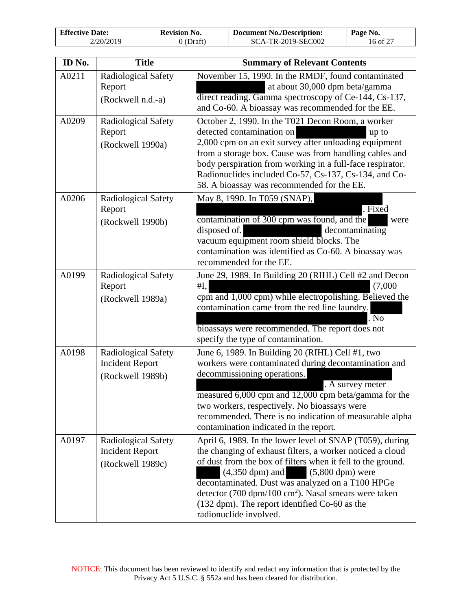| <b>Effective Date:</b> | <b>Revision No.</b> | <b>Document No./Description:</b> | Page No.            |
|------------------------|---------------------|----------------------------------|---------------------|
| 2/20/2019              | 0 (Draft)           | SCA-TR-2019-SEC002               | $16$ of $2^{\circ}$ |

| ID No. | <b>Title</b>                                                      | <b>Summary of Relevant Contents</b>                                                                                                                                                                                                                                                                                                                                                                                                        |
|--------|-------------------------------------------------------------------|--------------------------------------------------------------------------------------------------------------------------------------------------------------------------------------------------------------------------------------------------------------------------------------------------------------------------------------------------------------------------------------------------------------------------------------------|
| A0211  | Radiological Safety<br>Report<br>(Rockwell n.d.-a)                | November 15, 1990. In the RMDF, found contaminated<br>at about 30,000 dpm beta/gamma<br>direct reading. Gamma spectroscopy of Ce-144, Cs-137,<br>and Co-60. A bioassay was recommended for the EE.                                                                                                                                                                                                                                         |
| A0209  | <b>Radiological Safety</b><br>Report<br>(Rockwell 1990a)          | October 2, 1990. In the T021 Decon Room, a worker<br>detected contamination on<br>up to<br>2,000 cpm on an exit survey after unloading equipment<br>from a storage box. Cause was from handling cables and<br>body perspiration from working in a full-face respirator.<br>Radionuclides included Co-57, Cs-137, Cs-134, and Co-<br>58. A bioassay was recommended for the EE.                                                             |
| A0206  | <b>Radiological Safety</b><br>Report<br>(Rockwell 1990b)          | May 8, 1990. In T059 (SNAP),<br>. Fixed<br>contamination of 300 cpm was found, and the<br>were<br>disposed of.<br>decontaminating<br>vacuum equipment room shield blocks. The<br>contamination was identified as Co-60. A bioassay was<br>recommended for the EE.                                                                                                                                                                          |
| A0199  | Radiological Safety<br>Report<br>(Rockwell 1989a)                 | June 29, 1989. In Building 20 (RIHL) Cell #2 and Decon<br>(7,000)<br>#I,<br>cpm and 1,000 cpm) while electropolishing. Believed the<br>contamination came from the red line laundry.<br>$\overline{N_{0}}$<br>bioassays were recommended. The report does not<br>specify the type of contamination.                                                                                                                                        |
| A0198  | Radiological Safety<br><b>Incident Report</b><br>(Rockwell 1989b) | June 6, 1989. In Building 20 (RIHL) Cell #1, two<br>workers were contaminated during decontamination and<br>decommissioning operations.<br>. A survey meter<br>measured 6,000 cpm and 12,000 cpm beta/gamma for the<br>two workers, respectively. No bioassays were<br>recommended. There is no indication of measurable alpha<br>contamination indicated in the report.                                                                   |
| A0197  | Radiological Safety<br><b>Incident Report</b><br>(Rockwell 1989c) | April 6, 1989. In the lower level of SNAP (T059), during<br>the changing of exhaust filters, a worker noticed a cloud<br>of dust from the box of filters when it fell to the ground.<br>$(4,350$ dpm) and<br>$(5,800 \text{ dpm})$ were<br>decontaminated. Dust was analyzed on a T100 HPGe<br>detector (700 dpm/100 cm <sup>2</sup> ). Nasal smears were taken<br>(132 dpm). The report identified Co-60 as the<br>radionuclide involved. |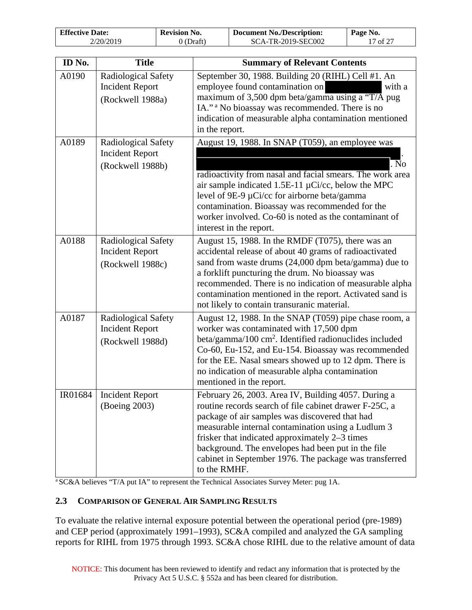| <b>Effective Date:</b> | <b>Revision No.</b> | <b>Document No./Description:</b> | Page No.     |
|------------------------|---------------------|----------------------------------|--------------|
| 2/20/2019              | 0 (Draft)           | SCA-TR-2019-SEC002               | $\sim$ of 27 |

| ID No.  | <b>Title</b>                                                             | <b>Summary of Relevant Contents</b>                                                                                                                                                                                                                                                                                                                                                                     |
|---------|--------------------------------------------------------------------------|---------------------------------------------------------------------------------------------------------------------------------------------------------------------------------------------------------------------------------------------------------------------------------------------------------------------------------------------------------------------------------------------------------|
| A0190   | <b>Radiological Safety</b><br><b>Incident Report</b><br>(Rockwell 1988a) | September 30, 1988. Building 20 (RIHL) Cell #1. An<br>employee found contamination on<br>with a<br>maximum of 3,500 dpm beta/gamma using a " $T/A$ pug<br>IA." <sup>a</sup> No bioassay was recommended. There is no<br>indication of measurable alpha contamination mentioned<br>in the report.                                                                                                        |
| A0189   | Radiological Safety<br><b>Incident Report</b><br>(Rockwell 1988b)        | August 19, 1988. In SNAP (T059), an employee was<br>. No<br>radioactivity from nasal and facial smears. The work area<br>air sample indicated 1.5E-11 $\mu$ Ci/cc, below the MPC<br>level of 9E-9 $\mu$ Ci/cc for airborne beta/gamma<br>contamination. Bioassay was recommended for the<br>worker involved. Co-60 is noted as the contaminant of<br>interest in the report.                            |
| A0188   | Radiological Safety<br><b>Incident Report</b><br>(Rockwell 1988c)        | August 15, 1988. In the RMDF (T075), there was an<br>accidental release of about 40 grams of radioactivated<br>sand from waste drums (24,000 dpm beta/gamma) due to<br>a forklift puncturing the drum. No bioassay was<br>recommended. There is no indication of measurable alpha<br>contamination mentioned in the report. Activated sand is<br>not likely to contain transuranic material.            |
| A0187   | Radiological Safety<br><b>Incident Report</b><br>(Rockwell 1988d)        | August 12, 1988. In the SNAP (T059) pipe chase room, a<br>worker was contaminated with 17,500 dpm<br>beta/gamma/100 cm <sup>2</sup> . Identified radionuclides included<br>Co-60, Eu-152, and Eu-154. Bioassay was recommended<br>for the EE. Nasal smears showed up to 12 dpm. There is<br>no indication of measurable alpha contamination<br>mentioned in the report.                                 |
| IR01684 | <b>Incident Report</b><br>(Boeing 2003)                                  | February 26, 2003. Area IV, Building 4057. During a<br>routine records search of file cabinet drawer F-25C, a<br>package of air samples was discovered that had<br>measurable internal contamination using a Ludlum 3<br>frisker that indicated approximately 2–3 times<br>background. The envelopes had been put in the file<br>cabinet in September 1976. The package was transferred<br>to the RMHF. |

<sup>a</sup> SC&A believes "T/A put IA" to represent the Technical Associates Survey Meter: pug 1A.

### <span id="page-16-0"></span>**2.3 COMPARISON OF GENERAL AIR SAMPLING RESULTS**

To evaluate the relative internal exposure potential between the operational period (pre-1989) and CEP period (approximately 1991–1993), SC&A compiled and analyzed the GA sampling reports for RIHL from 1975 through 1993. SC&A chose RIHL due to the relative amount of data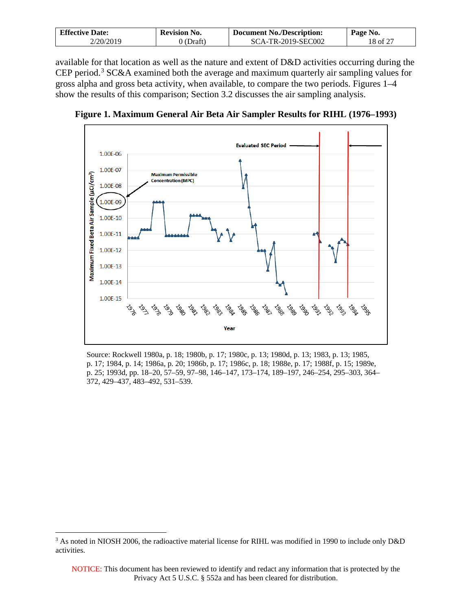| <b>Effective Date:</b> | <b>Revision No.</b> | <b>Document No./Description:</b> | Page No. |
|------------------------|---------------------|----------------------------------|----------|
| 2/20/2019              | J(Draft)            | SCA-TR-2019-SEC002               | 18 of 27 |

available for that location as well as the nature and extent of D&D activities occurring during the CEP period.<sup>[3](#page-17-0)</sup> SC&A examined both the average and maximum quarterly air sampling values for gross alpha and gross beta activity, when available, to compare the two periods. Figures 1–4 show the results of this comparison; Section 3.2 discusses the air sampling analysis.



**Figure 1. Maximum General Air Beta Air Sampler Results for RIHL (1976–1993)** 

Source: Rockwell 1980a, p. 18; 1980b, p. 17; 1980c, p. 13; 1980d, p. 13; 1983, p. 13; 1985, p. 17; 1984, p. 14; 1986a, p. 20; 1986b, p. 17; 1986c, p. 18; 1988e, p. 17; 1988f, p. 15; 1989e, p. 25; 1993d, pp. 18–20, 57–59, 97–98, 146–147, 173–174, 189–197, 246–254, 295–303, 364– 372, 429–437, 483–492, 531–539.

<span id="page-17-0"></span><sup>3</sup> As noted in NIOSH 2006, the radioactive material license for RIHL was modified in 1990 to include only D&D activities.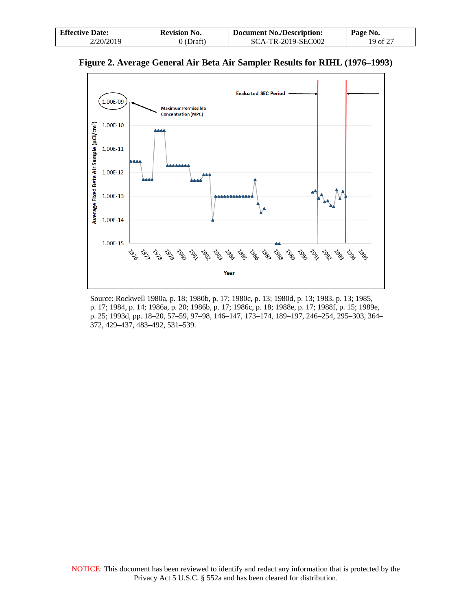| <b>Effective Date:</b> | <b>Revision No.</b> | Document No./Description: | Page No. |
|------------------------|---------------------|---------------------------|----------|
| 2/20/2019              | $0$ (Draft)         | SCA-TR-2019-SEC002        | 19 of 27 |





Source: Rockwell 1980a, p. 18; 1980b, p. 17; 1980c, p. 13; 1980d, p. 13; 1983, p. 13; 1985, p. 17; 1984, p. 14; 1986a, p. 20; 1986b, p. 17; 1986c, p. 18; 1988e, p. 17; 1988f, p. 15; 1989e, p. 25; 1993d, pp. 18–20, 57–59, 97–98, 146–147, 173–174, 189–197, 246–254, 295–303, 364– 372, 429–437, 483–492, 531–539.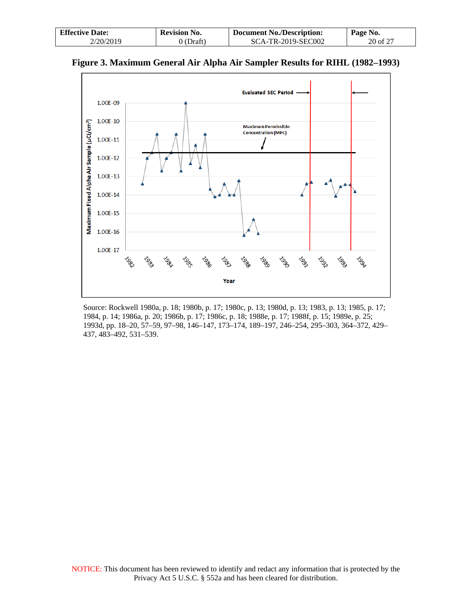| <b>Effective Date:</b> | <b>Revision No.</b> | Document No./Description: | Page No. |
|------------------------|---------------------|---------------------------|----------|
| 2/20/2019              | 0 (Draft)           | SCA-TR-2019-SEC002        | 20 of 27 |



**Figure 3. Maximum General Air Alpha Air Sampler Results for RIHL (1982–1993)** 

Source: Rockwell 1980a, p. 18; 1980b, p. 17; 1980c, p. 13; 1980d, p. 13; 1983, p. 13; 1985, p. 17; 1984, p. 14; 1986a, p. 20; 1986b, p. 17; 1986c, p. 18; 1988e, p. 17; 1988f, p. 15; 1989e, p. 25; 1993d, pp. 18–20, 57–59, 97–98, 146–147, 173–174, 189–197, 246–254, 295–303, 364–372, 429– 437, 483–492, 531–539.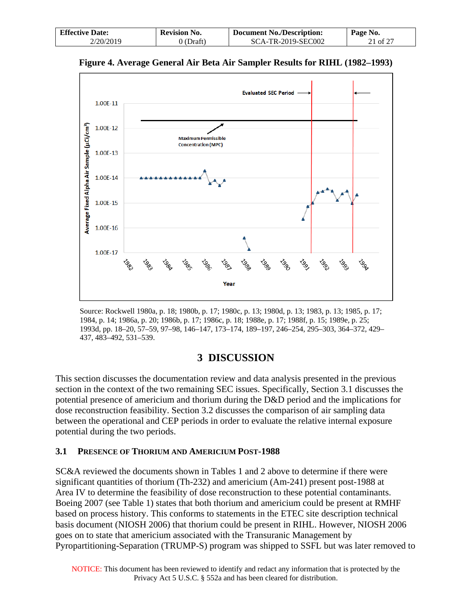| <b>Effective Date:</b> | <b>Revision No.</b> | <b>Document No./Description:</b> | Page No. |
|------------------------|---------------------|----------------------------------|----------|
| 2/20/2019              | $0$ (Draft)         | SCA-TR-2019-SEC002               | 21 of 27 |



**Figure 4. Average General Air Beta Air Sampler Results for RIHL (1982–1993)** 

Source: Rockwell 1980a, p. 18; 1980b, p. 17; 1980c, p. 13; 1980d, p. 13; 1983, p. 13; 1985, p. 17; 1984, p. 14; 1986a, p. 20; 1986b, p. 17; 1986c, p. 18; 1988e, p. 17; 1988f, p. 15; 1989e, p. 25; 1993d, pp. 18–20, 57–59, 97–98, 146–147, 173–174, 189–197, 246–254, 295–303, 364–372, 429– 437, 483–492, 531–539.

## **3 DISCUSSION**

<span id="page-20-0"></span>This section discusses the documentation review and data analysis presented in the previous section in the context of the two remaining SEC issues. Specifically, Section 3.1 discusses the potential presence of americium and thorium during the D&D period and the implications for dose reconstruction feasibility. Section 3.2 discusses the comparison of air sampling data between the operational and CEP periods in order to evaluate the relative internal exposure potential during the two periods.

### <span id="page-20-1"></span>**3.1 PRESENCE OF THORIUM AND AMERICIUM POST-1988**

SC&A reviewed the documents shown in Tables 1 and 2 above to determine if there were significant quantities of thorium (Th-232) and americium (Am-241) present post-1988 at Area IV to determine the feasibility of dose reconstruction to these potential contaminants. Boeing 2007 (see Table 1) states that both thorium and americium could be present at RMHF based on process history. This conforms to statements in the ETEC site description technical basis document (NIOSH 2006) that thorium could be present in RIHL. However, NIOSH 2006 goes on to state that americium associated with the Transuranic Management by Pyropartitioning-Separation (TRUMP-S) program was shipped to SSFL but was later removed to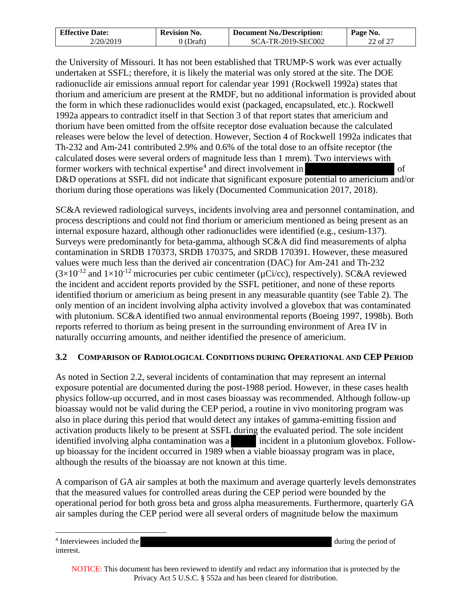| <b>Effective Date:</b> | <b>Revision No.</b> | <b>Document No./Description:</b> | Page No. |
|------------------------|---------------------|----------------------------------|----------|
| 2/20/2019              | Draft)              | SCA-TR-2019-SEC002               | 22 of 27 |

the University of Missouri. It has not been established that TRUMP-S work was ever actually undertaken at SSFL; therefore, it is likely the material was only stored at the site. The DOE radionuclide air emissions annual report for calendar year 1991 (Rockwell 1992a) states that thorium and americium are present at the RMDF, but no additional information is provided about the form in which these radionuclides would exist (packaged, encapsulated, etc.). Rockwell 1992a appears to contradict itself in that Section 3 of that report states that americium and thorium have been omitted from the offsite receptor dose evaluation because the calculated releases were below the level of detection. However, Section 4 of Rockwell 1992a indicates that Th-232 and Am-241 contributed 2.9% and 0.6% of the total dose to an offsite receptor (the calculated doses were several orders of magnitude less than 1 mrem). Two interviews with former workers with technical expertise<sup>[4](#page-21-1)</sup> and direct involvement in of D&D operations at SSFL did not indicate that significant exposure potential to americium and/or thorium during those operations was likely (Documented Communication 2017, 2018).

SC&A reviewed radiological surveys, incidents involving area and personnel contamination, and process descriptions and could not find thorium or americium mentioned as being present as an internal exposure hazard, although other radionuclides were identified (e.g., cesium-137). Surveys were predominantly for beta-gamma, although SC&A did find measurements of alpha contamination in SRDB 170373, SRDB 170375, and SRDB 170391. However, these measured values were much less than the derived air concentration (DAC) for Am-241 and Th-232  $(3\times10^{-12}$  and  $1\times10^{-12}$  microcuries per cubic centimeter ( $\mu$ Ci/cc), respectively). SC&A reviewed the incident and accident reports provided by the SSFL petitioner, and none of these reports identified thorium or americium as being present in any measurable quantity (see Table 2). The only mention of an incident involving alpha activity involved a glovebox that was contaminated with plutonium. SC&A identified two annual environmental reports (Boeing 1997, 1998b). Both reports referred to thorium as being present in the surrounding environment of Area IV in naturally occurring amounts, and neither identified the presence of americium.

### <span id="page-21-0"></span>**3.2 COMPARISON OF RADIOLOGICAL CONDITIONS DURING OPERATIONAL AND CEP PERIOD**

As noted in Section 2.2, several incidents of contamination that may represent an internal exposure potential are documented during the post-1988 period. However, in these cases health physics follow-up occurred, and in most cases bioassay was recommended. Although follow-up bioassay would not be valid during the CEP period, a routine in vivo monitoring program was also in place during this period that would detect any intakes of gamma-emitting fission and activation products likely to be present at SSFL during the evaluated period. The sole incident identified involving alpha contamination was a incident in a plutonium glovebox. Followup bioassay for the incident occurred in 1989 when a viable bioassay program was in place, although the results of the bioassay are not known at this time.

A comparison of GA air samples at both the maximum and average quarterly levels demonstrates that the measured values for controlled areas during the CEP period were bounded by the operational period for both gross beta and gross alpha measurements. Furthermore, quarterly GA air samples during the CEP period were all several orders of magnitude below the maximum

<span id="page-21-1"></span><sup>&</sup>lt;sup>4</sup> Interviewees included the during the period of during the period of interest.

NOTICE: This document has been reviewed to identify and redact any information that is protected by the Privacy Act 5 U.S.C. § 552a and has been cleared for distribution.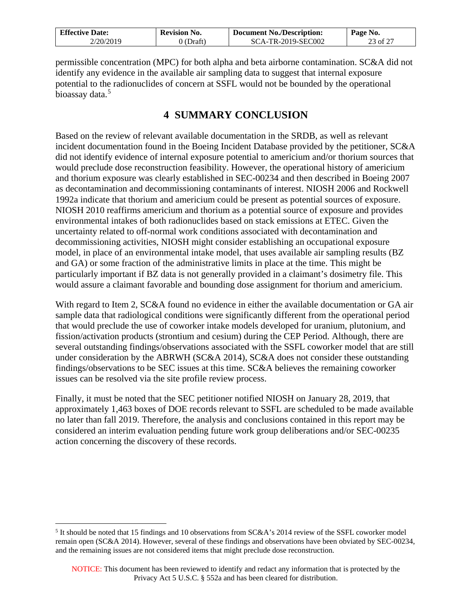| <b>Effective Date:</b> | <b>Revision No.</b> | <b>Document No./Description:</b> | Page No. |
|------------------------|---------------------|----------------------------------|----------|
| 2/20/2019              | 0 (Draft)           | SCA-TR-2019-SEC002               | 23 of 27 |

permissible concentration (MPC) for both alpha and beta airborne contamination. SC&A did not identify any evidence in the available air sampling data to suggest that internal exposure potential to the radionuclides of concern at SSFL would not be bounded by the operational bioassay data.<sup>[5](#page-22-1)</sup>

## **4 SUMMARY CONCLUSION**

<span id="page-22-0"></span>Based on the review of relevant available documentation in the SRDB, as well as relevant incident documentation found in the Boeing Incident Database provided by the petitioner, SC&A did not identify evidence of internal exposure potential to americium and/or thorium sources that would preclude dose reconstruction feasibility. However, the operational history of americium and thorium exposure was clearly established in SEC-00234 and then described in Boeing 2007 as decontamination and decommissioning contaminants of interest. NIOSH 2006 and Rockwell 1992a indicate that thorium and americium could be present as potential sources of exposure. NIOSH 2010 reaffirms americium and thorium as a potential source of exposure and provides environmental intakes of both radionuclides based on stack emissions at ETEC. Given the uncertainty related to off-normal work conditions associated with decontamination and decommissioning activities, NIOSH might consider establishing an occupational exposure model, in place of an environmental intake model, that uses available air sampling results (BZ and GA) or some fraction of the administrative limits in place at the time. This might be particularly important if BZ data is not generally provided in a claimant's dosimetry file. This would assure a claimant favorable and bounding dose assignment for thorium and americium.

With regard to Item 2, SC&A found no evidence in either the available documentation or GA air sample data that radiological conditions were significantly different from the operational period that would preclude the use of coworker intake models developed for uranium, plutonium, and fission/activation products (strontium and cesium) during the CEP Period. Although, there are several outstanding findings/observations associated with the SSFL coworker model that are still under consideration by the ABRWH (SC&A 2014), SC&A does not consider these outstanding findings/observations to be SEC issues at this time. SC&A believes the remaining coworker issues can be resolved via the site profile review process.

Finally, it must be noted that the SEC petitioner notified NIOSH on January 28, 2019, that approximately 1,463 boxes of DOE records relevant to SSFL are scheduled to be made available no later than fall 2019. Therefore, the analysis and conclusions contained in this report may be considered an interim evaluation pending future work group deliberations and/or SEC-00235 action concerning the discovery of these records.

<span id="page-22-1"></span><sup>&</sup>lt;sup>5</sup> It should be noted that 15 findings and 10 observations from SC&A's 2014 review of the SSFL coworker model remain open (SC&A 2014). However, several of these findings and observations have been obviated by SEC-00234, and the remaining issues are not considered items that might preclude dose reconstruction.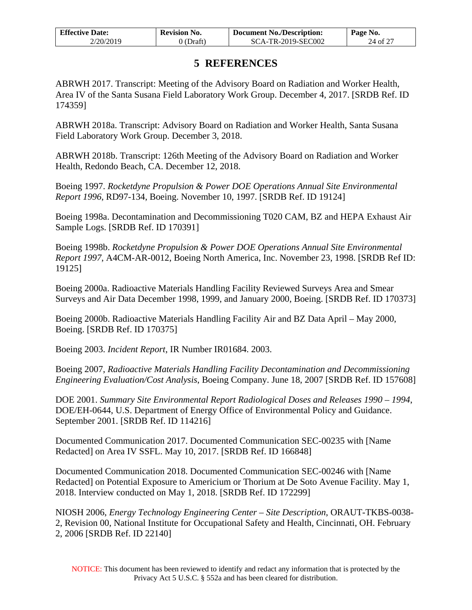| <b>Effective Date:</b> | <b>Revision No.</b> | <b>Document No./Description:</b> | Page No. |
|------------------------|---------------------|----------------------------------|----------|
| 2/20/2019              | $\partial$ (Draft)  | SCA-TR-2019-SEC002               | 24 of 27 |

## **5 REFERENCES**

<span id="page-23-0"></span>ABRWH 2017. Transcript: Meeting of the Advisory Board on Radiation and Worker Health, Area IV of the Santa Susana Field Laboratory Work Group. December 4, 2017. [SRDB Ref. ID 174359]

ABRWH 2018a. Transcript: Advisory Board on Radiation and Worker Health, Santa Susana Field Laboratory Work Group. December 3, 2018.

ABRWH 2018b. Transcript: 126th Meeting of the Advisory Board on Radiation and Worker Health, Redondo Beach, CA. December 12, 2018.

Boeing 1997. *Rocketdyne Propulsion & Power DOE Operations Annual Site Environmental Report 1996*, RD97-134, Boeing. November 10, 1997. [SRDB Ref. ID 19124]

Boeing 1998a. Decontamination and Decommissioning T020 CAM, BZ and HEPA Exhaust Air Sample Logs. [SRDB Ref. ID 170391]

Boeing 1998b. *Rocketdyne Propulsion & Power DOE Operations Annual Site Environmental Report 1997*, A4CM-AR-0012, Boeing North America, Inc. November 23, 1998. [SRDB Ref ID: 19125]

Boeing 2000a. Radioactive Materials Handling Facility Reviewed Surveys Area and Smear Surveys and Air Data December 1998, 1999, and January 2000, Boeing. [SRDB Ref. ID 170373]

Boeing 2000b. Radioactive Materials Handling Facility Air and BZ Data April – May 2000, Boeing. [SRDB Ref. ID 170375]

Boeing 2003. *Incident Report*, IR Number IR01684. 2003.

Boeing 2007, *Radioactive Materials Handling Facility Decontamination and Decommissioning Engineering Evaluation/Cost Analysis*, Boeing Company. June 18, 2007 [SRDB Ref. ID 157608]

DOE 2001. *Summary Site Environmental Report Radiological Doses and Releases 1990 – 1994*, DOE/EH-0644, U.S. Department of Energy Office of Environmental Policy and Guidance. September 2001. [SRDB Ref. ID 114216]

Documented Communication 2017. Documented Communication SEC-00235 with [Name Redacted] on Area IV SSFL. May 10, 2017. [SRDB Ref. ID 166848]

Documented Communication 2018. Documented Communication SEC-00246 with [Name Redacted] on Potential Exposure to Americium or Thorium at De Soto Avenue Facility. May 1, 2018. Interview conducted on May 1, 2018. [SRDB Ref. ID 172299]

NIOSH 2006, *Energy Technology Engineering Center – Site Description*, ORAUT-TKBS-0038- 2, Revision 00, National Institute for Occupational Safety and Health, Cincinnati, OH. February 2, 2006 [SRDB Ref. ID 22140]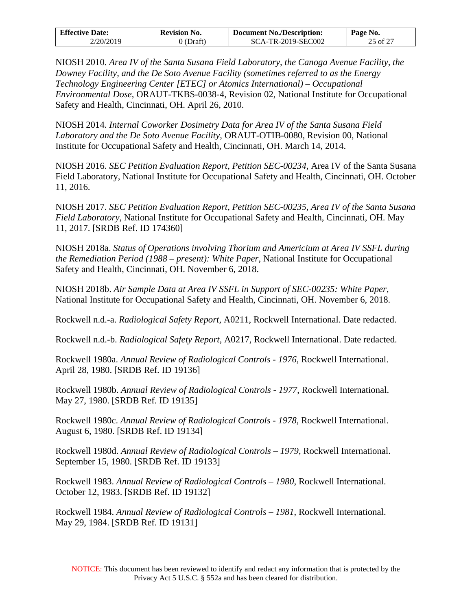| <b>Effective Date:</b> | <b>Revision No.</b> | <b>Document No./Description:</b> | Page No. |
|------------------------|---------------------|----------------------------------|----------|
| 2/20/2019              | . Draft             | SCA-TR-2019-SEC002               | 25 of 27 |

NIOSH 2010. *Area IV of the Santa Susana Field Laboratory, the Canoga Avenue Facility, the Downey Facility, and the De Soto Avenue Facility (sometimes referred to as the Energy Technology Engineering Center [ETEC] or Atomics International) – Occupational Environmental Dose*, ORAUT-TKBS-0038-4, Revision 02, National Institute for Occupational Safety and Health, Cincinnati, OH. April 26, 2010.

NIOSH 2014. *Internal Coworker Dosimetry Data for Area IV of the Santa Susana Field Laboratory and the De Soto Avenue Facility*, ORAUT-OTIB-0080, Revision 00, National Institute for Occupational Safety and Health, Cincinnati, OH. March 14, 2014.

NIOSH 2016. *SEC Petition Evaluation Report, Petition SEC-00234*, Area IV of the Santa Susana Field Laboratory, National Institute for Occupational Safety and Health, Cincinnati, OH. October 11, 2016.

NIOSH 2017. *SEC Petition Evaluation Report, Petition SEC-00235, Area IV of the Santa Susana Field Laboratory*, National Institute for Occupational Safety and Health, Cincinnati, OH. May 11, 2017. [SRDB Ref. ID 174360]

NIOSH 2018a. *Status of Operations involving Thorium and Americium at Area IV SSFL during the Remediation Period (1988 – present): White Paper*, National Institute for Occupational Safety and Health, Cincinnati, OH. November 6, 2018.

NIOSH 2018b. *Air Sample Data at Area IV SSFL in Support of SEC-00235: White Paper*, National Institute for Occupational Safety and Health, Cincinnati, OH. November 6, 2018.

Rockwell n.d.-a. *Radiological Safety Report*, A0211, Rockwell International. Date redacted.

Rockwell n.d.-b. *Radiological Safety Report*, A0217, Rockwell International. Date redacted.

Rockwell 1980a. *Annual Review of Radiological Controls - 1976*, Rockwell International. April 28, 1980. [SRDB Ref. ID 19136]

Rockwell 1980b. *Annual Review of Radiological Controls - 1977*, Rockwell International. May 27, 1980. [SRDB Ref. ID 19135]

Rockwell 1980c. *Annual Review of Radiological Controls - 1978*, Rockwell International. August 6, 1980. [SRDB Ref. ID 19134]

Rockwell 1980d. *Annual Review of Radiological Controls – 1979*, Rockwell International. September 15, 1980. [SRDB Ref. ID 19133]

Rockwell 1983. *Annual Review of Radiological Controls – 1980*, Rockwell International. October 12, 1983. [SRDB Ref. ID 19132]

Rockwell 1984. *Annual Review of Radiological Controls – 1981*, Rockwell International. May 29, 1984. [SRDB Ref. ID 19131]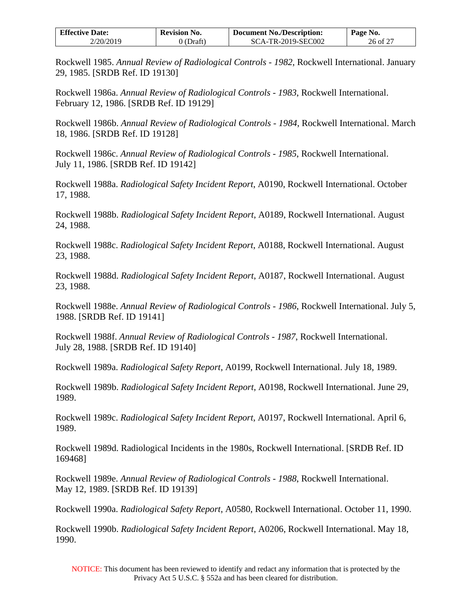| <b>Effective Date:</b> | <b>Revision No.</b> | Document No./Description: | Page No. |
|------------------------|---------------------|---------------------------|----------|
| 2/20/2019              | 0 (Draft)           | SCA-TR-2019-SEC002        | 26 of 27 |

Rockwell 1985. *Annual Review of Radiological Controls - 1982*, Rockwell International. January 29, 1985. [SRDB Ref. ID 19130]

Rockwell 1986a. *Annual Review of Radiological Controls - 1983*, Rockwell International. February 12, 1986. [SRDB Ref. ID 19129]

Rockwell 1986b. *Annual Review of Radiological Controls - 1984*, Rockwell International. March 18, 1986. [SRDB Ref. ID 19128]

Rockwell 1986c. *Annual Review of Radiological Controls - 1985*, Rockwell International. July 11, 1986. [SRDB Ref. ID 19142]

Rockwell 1988a. *Radiological Safety Incident Report*, A0190, Rockwell International. October 17, 1988.

Rockwell 1988b. *Radiological Safety Incident Report*, A0189, Rockwell International. August 24, 1988.

Rockwell 1988c. *Radiological Safety Incident Report*, A0188, Rockwell International. August 23, 1988.

Rockwell 1988d. *Radiological Safety Incident Report*, A0187, Rockwell International. August 23, 1988.

Rockwell 1988e. *Annual Review of Radiological Controls - 1986*, Rockwell International. July 5, 1988. [SRDB Ref. ID 19141]

Rockwell 1988f. *Annual Review of Radiological Controls - 1987*, Rockwell International. July 28, 1988. [SRDB Ref. ID 19140]

Rockwell 1989a. *Radiological Safety Report*, A0199, Rockwell International. July 18, 1989.

Rockwell 1989b. *Radiological Safety Incident Report*, A0198, Rockwell International. June 29, 1989.

Rockwell 1989c. *Radiological Safety Incident Report*, A0197, Rockwell International. April 6, 1989.

Rockwell 1989d. Radiological Incidents in the 1980s, Rockwell International. [SRDB Ref. ID 169468]

Rockwell 1989e. *Annual Review of Radiological Controls - 1988*, Rockwell International. May 12, 1989. [SRDB Ref. ID 19139]

Rockwell 1990a. *Radiological Safety Report*, A0580, Rockwell International. October 11, 1990.

Rockwell 1990b. *Radiological Safety Incident Report*, A0206, Rockwell International. May 18, 1990.